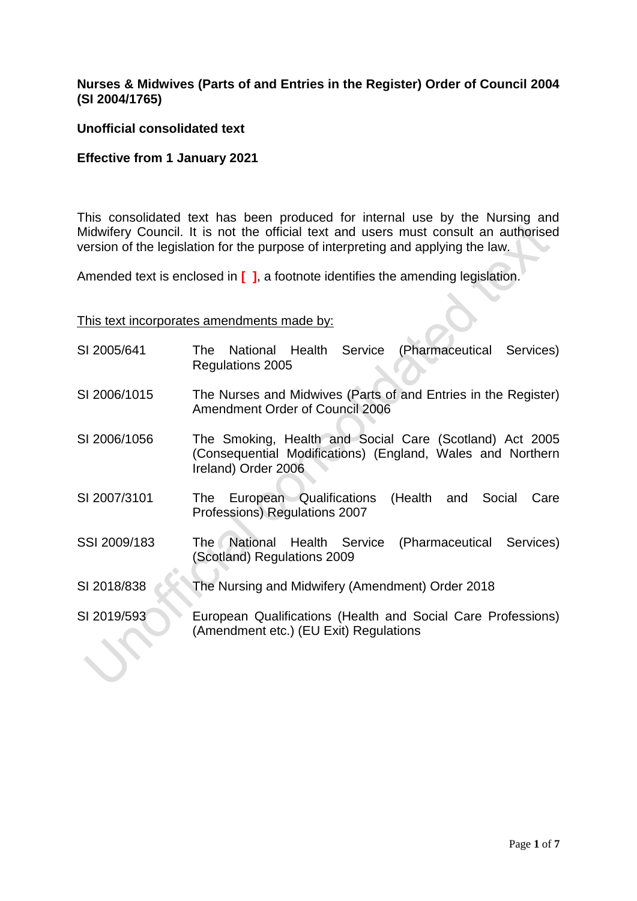# **Nurses & Midwives (Parts of and Entries in the Register) Order of Council 2004 (SI 2004/1765)**

#### **Unofficial consolidated text**

#### **Effective from 1 January 2021**

This consolidated text has been produced for internal use by the Nursing and Midwifery Council. It is not the official text and users must consult an authorised version of the legislation for the purpose of interpreting and applying the law.

Amended text is enclosed in **[ ]**, a footnote identifies the amending legislation.

#### This text incorporates amendments made by:

- SI 2005/641 The National Health Service (Pharmaceutical Services) Regulations 2005
- SI 2006/1015 The Nurses and Midwives (Parts of and Entries in the Register) Amendment Order of Council 2006
- SI 2006/1056 The Smoking, Health and Social Care (Scotland) Act 2005 (Consequential Modifications) (England, Wales and Northern Ireland) Order 2006
- SI 2007/3101 The European Qualifications (Health and Social Care Professions) Regulations 2007
- SSI 2009/183 The National Health Service (Pharmaceutical Services) (Scotland) Regulations 2009
- SI 2018/838 The Nursing and Midwifery (Amendment) Order 2018
- SI 2019/593 European Qualifications (Health and Social Care Professions) (Amendment etc.) (EU Exit) Regulations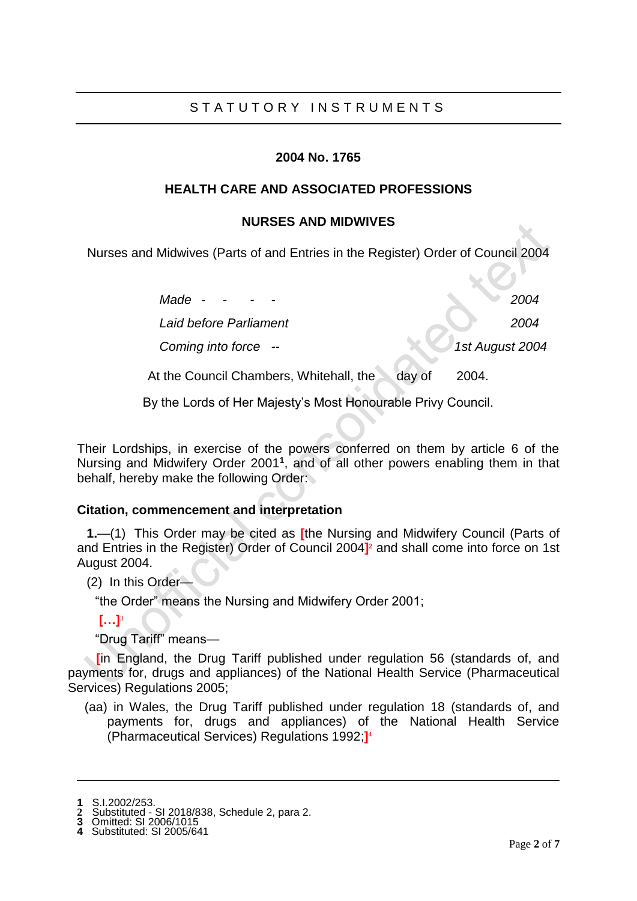# STATUTORY INSTRUMENTS

# **2004 No. 1765**

# **HEALTH CARE AND ASSOCIATED PROFESSIONS**

# **NURSES AND MIDWIVES**

Nurses and Midwives (Parts of and Entries in the Register) Order of Council 2004

*Made - - - - 2004*

*Laid before Parliament 2004*

*Coming into force -- 1st August 2004*

At the Council Chambers, Whitehall, the day of 2004.

By the Lords of Her Majesty's Most Honourable Privy Council.

Their Lordships, in exercise of the powers conferred on them by article 6 of the Nursing and Midwifery Order 2001**<sup>1</sup>** , and of all other powers enabling them in that behalf, hereby make the following Order:

# **Citation, commencement and interpretation**

**1.**—(1) This Order may be cited as **[**the Nursing and Midwifery Council (Parts of and Entries in the Register) Order of Council 2004<sup>1</sup> and shall come into force on 1st August 2004.

(2) In this Order—

"the Order" means the Nursing and Midwifery Order 2001;

**[…]**<sup>3</sup>

"Drug Tariff" means—

**[in England, the Drug Tariff published under regulation 56 (standards of, and** payments for, drugs and appliances) of the National Health Service (Pharmaceutical Services) Regulations 2005;

(aa) in Wales, the Drug Tariff published under regulation 18 (standards of, and payments for, drugs and appliances) of the National Health Service (Pharmaceutical Services) Regulations 1992;**]** 4

**<sup>1</sup>** S.I.2002/253.

**<sup>2</sup>** Substituted - SI 2018/838, Schedule 2, para 2.

**<sup>3</sup>** Omitted: SI 2006/1015 **4** Substituted: SI 2005/641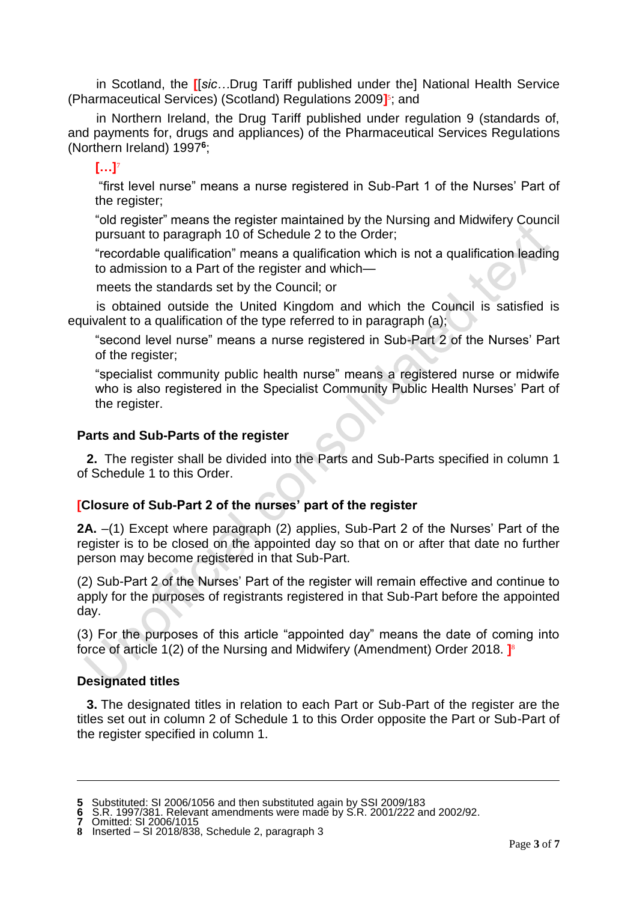in Scotland, the **[**[*sic…*Drug Tariff published under the] National Health Service (Pharmaceutical Services) (Scotland) Regulations 2009**]** 5 ; and

in Northern Ireland, the Drug Tariff published under regulation 9 (standards of, and payments for, drugs and appliances) of the Pharmaceutical Services Regulations (Northern Ireland) 1997**<sup>6</sup>** ;

# **[…]**<sup>7</sup>

"first level nurse" means a nurse registered in Sub-Part 1 of the Nurses' Part of the register;

"old register" means the register maintained by the Nursing and Midwifery Council pursuant to paragraph 10 of Schedule 2 to the Order;

"recordable qualification" means a qualification which is not a qualification leading to admission to a Part of the register and which—

meets the standards set by the Council; or

is obtained outside the United Kingdom and which the Council is satisfied is equivalent to a qualification of the type referred to in paragraph (a);

"second level nurse" means a nurse registered in Sub-Part 2 of the Nurses' Part of the register;

"specialist community public health nurse" means a registered nurse or midwife who is also registered in the Specialist Community Public Health Nurses' Part of the register.

# **Parts and Sub-Parts of the register**

**2.** The register shall be divided into the Parts and Sub-Parts specified in column 1 of Schedule 1 to this Order.

# **[Closure of Sub-Part 2 of the nurses' part of the register**

**2A.** –(1) Except where paragraph (2) applies, Sub-Part 2 of the Nurses' Part of the register is to be closed on the appointed day so that on or after that date no further person may become registered in that Sub-Part.

(2) Sub-Part 2 of the Nurses' Part of the register will remain effective and continue to apply for the purposes of registrants registered in that Sub-Part before the appointed day.

(3) For the purposes of this article "appointed day" means the date of coming into force of article 1(2) of the Nursing and Midwifery (Amendment) Order 2018. **]** 8

# **Designated titles**

**3.** The designated titles in relation to each Part or Sub-Part of the register are the titles set out in column 2 of Schedule 1 to this Order opposite the Part or Sub-Part of the register specified in column 1.

**<sup>5</sup>** Substituted: SI 2006/1056 and then substituted again by SSI 2009/183

**<sup>6</sup>** S.R. 1997/381. Relevant amendments were made by S.R. 2001/222 and 2002/92.

**<sup>7</sup>** Omitted: SI 2006/1015

**<sup>8</sup>** Inserted – SI 2018/838, Schedule 2, paragraph 3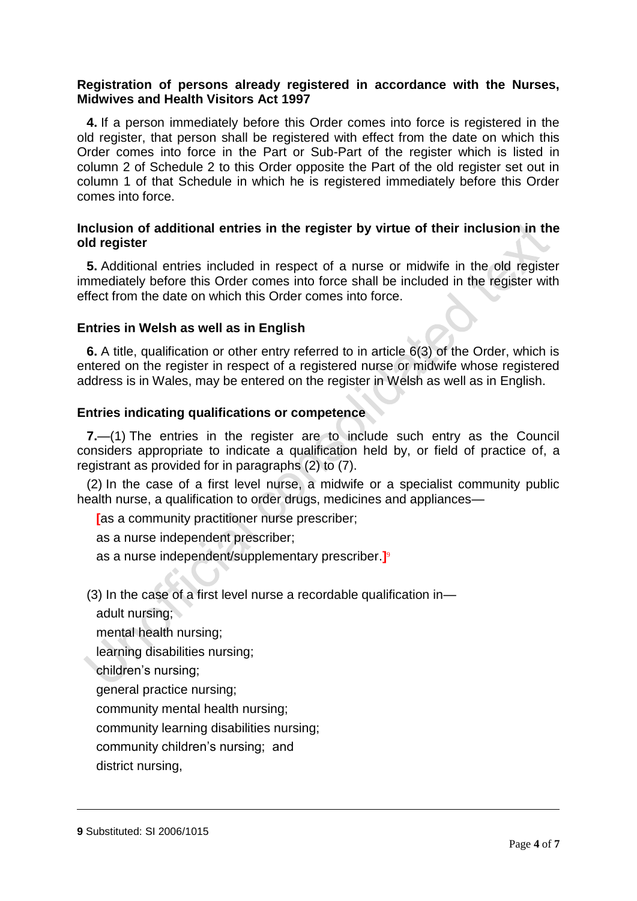# **Registration of persons already registered in accordance with the Nurses, Midwives and Health Visitors Act 1997**

**4.** If a person immediately before this Order comes into force is registered in the old register, that person shall be registered with effect from the date on which this Order comes into force in the Part or Sub-Part of the register which is listed in column 2 of Schedule 2 to this Order opposite the Part of the old register set out in column 1 of that Schedule in which he is registered immediately before this Order comes into force.

# **Inclusion of additional entries in the register by virtue of their inclusion in the old register**

**5.** Additional entries included in respect of a nurse or midwife in the old register immediately before this Order comes into force shall be included in the register with effect from the date on which this Order comes into force.

#### **Entries in Welsh as well as in English**

**6.** A title, qualification or other entry referred to in article 6(3) of the Order, which is entered on the register in respect of a registered nurse or midwife whose registered address is in Wales, may be entered on the register in Welsh as well as in English.

#### **Entries indicating qualifications or competence**

**7.**—(1) The entries in the register are to include such entry as the Council considers appropriate to indicate a qualification held by, or field of practice of, a registrant as provided for in paragraphs (2) to (7).

(2) In the case of a first level nurse, a midwife or a specialist community public health nurse, a qualification to order drugs, medicines and appliances—

**[**as a community practitioner nurse prescriber;

as a nurse independent prescriber;

as a nurse independent/supplementary prescriber.**]** 9

(3) In the case of a first level nurse a recordable qualification in—

adult nursing;

mental health nursing;

learning disabilities nursing;

children's nursing;

general practice nursing;

community mental health nursing;

community learning disabilities nursing;

community children's nursing; and

district nursing,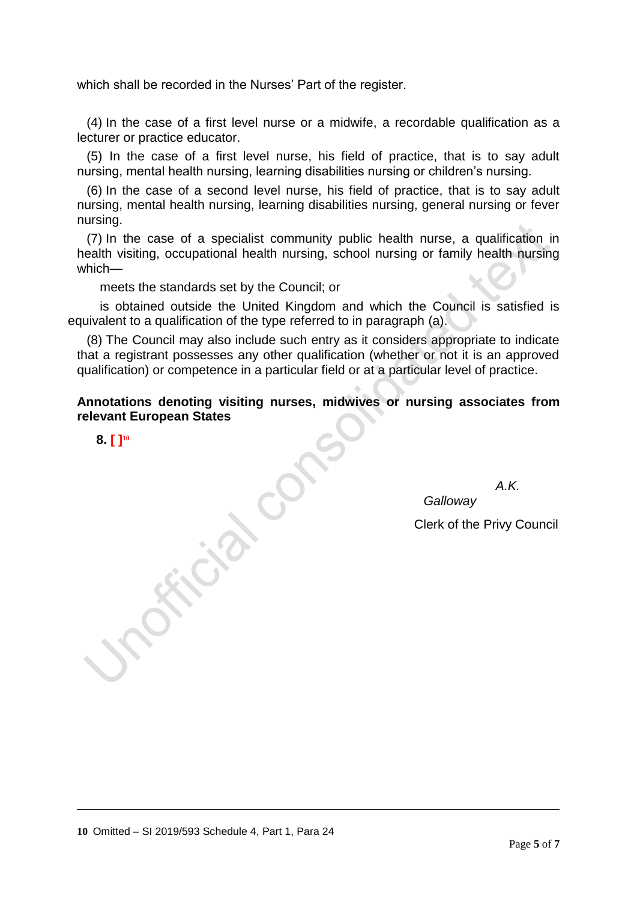which shall be recorded in the Nurses' Part of the register.

(4) In the case of a first level nurse or a midwife, a recordable qualification as a lecturer or practice educator.

(5) In the case of a first level nurse, his field of practice, that is to say adult nursing, mental health nursing, learning disabilities nursing or children's nursing.

(6) In the case of a second level nurse, his field of practice, that is to say adult nursing, mental health nursing, learning disabilities nursing, general nursing or fever nursing.

(7) In the case of a specialist community public health nurse, a qualification in health visiting, occupational health nursing, school nursing or family health nursing which—

meets the standards set by the Council; or

is obtained outside the United Kingdom and which the Council is satisfied is equivalent to a qualification of the type referred to in paragraph (a).

(8) The Council may also include such entry as it considers appropriate to indicate that a registrant possesses any other qualification (whether or not it is an approved qualification) or competence in a particular field or at a particular level of practice.

**Annotations denoting visiting nurses, midwives or nursing associates from relevant European States**

**8. [ ] 10**

-

 *A.K.* 

Clerk of the Privy Council

*Galloway*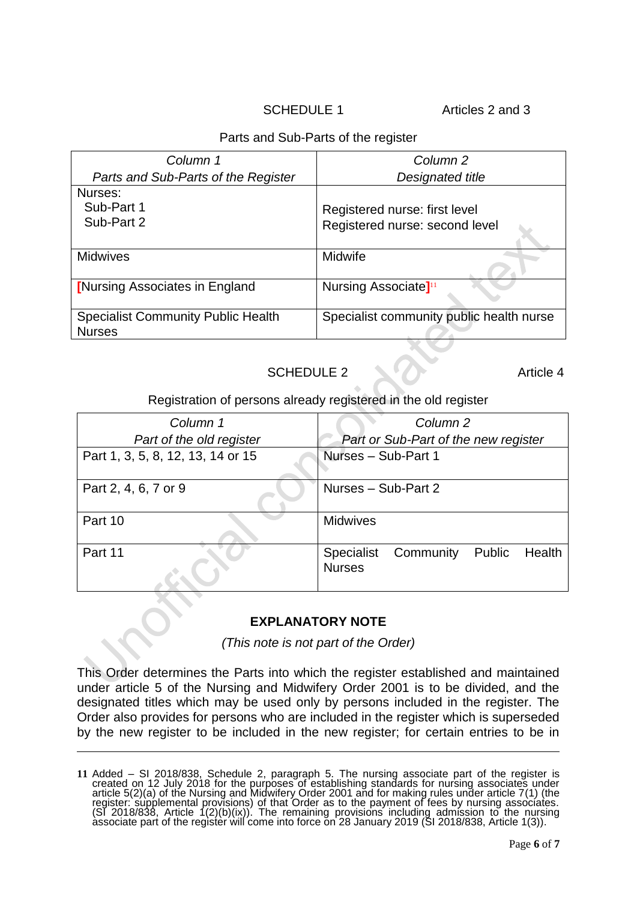SCHEDULE 1 Articles 2 and 3

# Parts and Sub-Parts of the register

| Column 1                                                   | Column <sub>2</sub>                      |
|------------------------------------------------------------|------------------------------------------|
| Parts and Sub-Parts of the Register                        | Designated title                         |
| Nurses:<br>Sub-Part 1                                      |                                          |
|                                                            | Registered nurse: first level            |
| Sub-Part 2                                                 | Registered nurse: second level           |
| <b>Midwives</b>                                            | Midwife                                  |
| <b>[Nursing Associates in England</b>                      | Nursing Associate <sup>[11</sup> ]       |
| <b>Specialist Community Public Health</b><br><b>Nurses</b> | Specialist community public health nurse |

# SCHEDULE 2 Article 4

#### Registration of persons already registered in the old register

| Column 1                          | Column <sub>2</sub>                                              |
|-----------------------------------|------------------------------------------------------------------|
| Part of the old register          | Part or Sub-Part of the new register                             |
| Part 1, 3, 5, 8, 12, 13, 14 or 15 | Nurses - Sub-Part 1                                              |
| Part 2, 4, 6, 7 or 9              | Nurses - Sub-Part 2                                              |
| Part 10                           | <b>Midwives</b>                                                  |
| Part 11                           | Community<br>Public Health<br><b>Specialist</b><br><b>Nurses</b> |

# **EXPLANATORY NOTE**

*(This note is not part of the Order)*

This Order determines the Parts into which the register established and maintained under article 5 of the Nursing and Midwifery Order 2001 is to be divided, and the designated titles which may be used only by persons included in the register. The Order also provides for persons who are included in the register which is superseded by the new register to be included in the new register; for certain entries to be in

**<sup>11</sup>** Added – SI 2018/838, Schedule 2, paragraph 5. The nursing associate part of the register is created on 12 July 2018 for the purposes of establishing standards for nursing associates under article 5(2)(a) of the Nursing and Midwifery Order 2001 and for making rules under article 7(1) (the register: supplemental provisions) of that Order as to the payment of fees by nursing associates. (SI 2018/838, Article  $1(2)(b)(ix)$ ). The remaining provisions including admission to the nursing associate part of the register will come into force on 28 January 2019 (SI 2018/838, Article 1(3)).